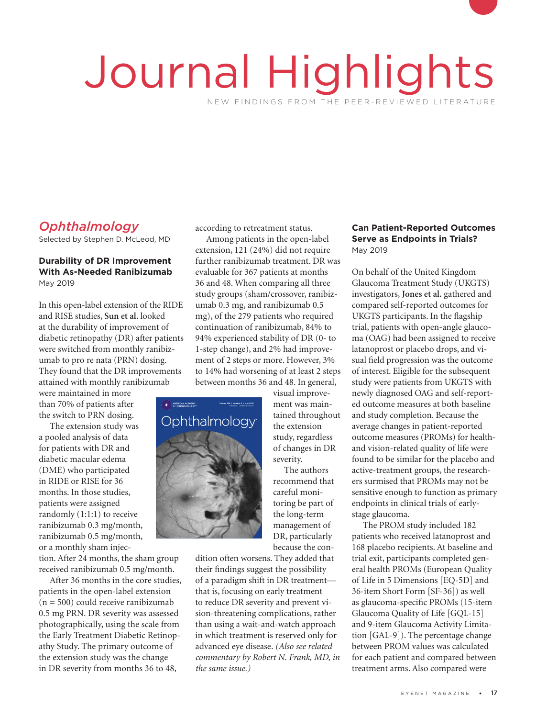# Journal Highlights NEW FINDINGS FROM THE PEER-REVIEWED LITERATURE

# *Ophthalmology*

Selected by Stephen D. McLeod, MD

#### **Durability of DR Improvement With As-Needed Ranibizumab** May 2019

In this open-label extension of the RIDE and RISE studies, **Sun et al.** looked at the durability of improvement of diabetic retinopathy (DR) after patients were switched from monthly ranibizumab to pro re nata (PRN) dosing. They found that the DR improvements attained with monthly ranibizumab

were maintained in more than 70% of patients after the switch to PRN dosing.

The extension study was a pooled analysis of data for patients with DR and diabetic macular edema (DME) who participated in RIDE or RISE for 36 months. In those studies, patients were assigned randomly (1:1:1) to receive ranibizumab 0.3 mg/month, ranibizumab 0.5 mg/month, or a monthly sham injecis with DR<br>acular eder<br>o participa<br>RISE for 3  $\Omega$  and 1 25-01-2019 10:21:16.11.16.11.16.11.16.11.16.11.16.11.16.11.16.11.16.11.16.11.16.11.16.11.16.11.16.11.16.11.16.11.16.11.16.11.16.11.16.11.16.11.16.11.16.11.16.11.16.11.16.11.16.11.16.11.16.11.16.11.16.11.16.11.1

tion. After 24 months, the sham group received ranibizumab 0.5 mg/month.

After 36 months in the core studies, patients in the open-label extension  $(n = 500)$  could receive ranibizumab 0.5 mg PRN. DR severity was assessed photographically, using the scale from the Early Treatment Diabetic Retinopathy Study. The primary outcome of the extension study was the change in DR severity from months 36 to 48,

according to retreatment status.

Among patients in the open-label extension, 121 (24%) did not require further ranibizumab treatment. DR was evaluable for 367 patients at months 36 and 48. When comparing all three study groups (sham/crossover, ranibizumab 0.3 mg, and ranibizumab 0.5 mg), of the 279 patients who required continuation of ranibizumab, 84% to 94% experienced stability of DR (0- to 1-step change), and 2% had improvement of 2 steps or more. However, 3% to 14% had worsening of at least 2 steps between months 36 and 48. In general,



visual improvement was maintained throughout the extension study, regardless of changes in DR severity.

The authors recommend that careful monitoring be part of the long-term management of DR, particularly because the con-

dition often worsens. They added that their findings suggest the possibility of a paradigm shift in DR treatment that is, focusing on early treatment to reduce DR severity and prevent vision-threatening complications, rather than using a wait-and-watch approach in which treatment is reserved only for advanced eye disease. *(Also see related commentary by Robert N. Frank, MD, in the same issue.)*

#### **Can Patient-Reported Outcomes Serve as Endpoints in Trials?** May 2019

On behalf of the United Kingdom Glaucoma Treatment Study (UKGTS) investigators, **Jones et al.** gathered and compared self-reported outcomes for UKGTS participants. In the flagship trial, patients with open-angle glaucoma (OAG) had been assigned to receive latanoprost or placebo drops, and visual field progression was the outcome of interest. Eligible for the subsequent study were patients from UKGTS with newly diagnosed OAG and self-reported outcome measures at both baseline and study completion. Because the average changes in patient-reported outcome measures (PROMs) for healthand vision-related quality of life were found to be similar for the placebo and active-treatment groups, the researchers surmised that PROMs may not be sensitive enough to function as primary endpoints in clinical trials of earlystage glaucoma.

The PROM study included 182 patients who received latanoprost and 168 placebo recipients. At baseline and trial exit, participants completed general health PROMs (European Quality of Life in 5 Dimensions [EQ-5D] and 36-item Short Form [SF-36]) as well as glaucoma-specific PROMs (15-item Glaucoma Quality of Life [GQL-15] and 9-item Glaucoma Activity Limitation [GAL-9]). The percentage change between PROM values was calculated for each patient and compared between treatment arms. Also compared were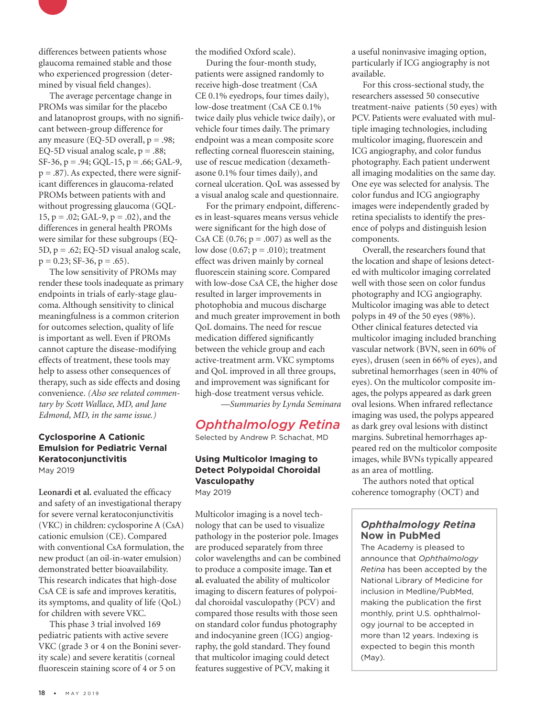

The average percentage change in PROMs was similar for the placebo and latanoprost groups, with no significant between-group difference for any measure (EQ-5D overall,  $p = .98$ ; EQ-5D visual analog scale,  $p = .88$ ;  $SF-36$ ,  $p = .94$ ;  $GQL-15$ ,  $p = .66$ ;  $GAL-9$ ,  $p = .87$ ). As expected, there were significant differences in glaucoma-related PROMs between patients with and without progressing glaucoma (GQL-15,  $p = .02$ ; GAL-9,  $p = .02$ ), and the differences in general health PROMs were similar for these subgroups (EQ-5D, p = .62; EQ-5D visual analog scale,  $p = 0.23$ ; SF-36,  $p = .65$ ).

The low sensitivity of PROMs may render these tools inadequate as primary endpoints in trials of early-stage glaucoma. Although sensitivity to clinical meaningfulness is a common criterion for outcomes selection, quality of life is important as well. Even if PROMs cannot capture the disease-modifying effects of treatment, these tools may help to assess other consequences of therapy, such as side effects and dosing convenience. *(Also see related commentary by Scott Wallace, MD, and Jane Edmond, MD, in the same issue.)* 

#### **Cyclosporine A Cationic Emulsion for Pediatric Vernal Keratoconjunctivitis** May 2019

Leonardi et al. evaluated the efficacy and safety of an investigational therapy for severe vernal keratoconjunctivitis (VKC) in children: cyclosporine A (CsA) cationic emulsion (CE). Compared with conventional CsA formulation, the new product (an oil-in-water emulsion) demonstrated better bioavailability. This research indicates that high-dose CsA CE is safe and improves keratitis, its symptoms, and quality of life (QoL) for children with severe VKC.

This phase 3 trial involved 169 pediatric patients with active severe VKC (grade 3 or 4 on the Bonini severity scale) and severe keratitis (corneal fluorescein staining score of 4 or 5 on

the modified Oxford scale).

During the four-month study, patients were assigned randomly to receive high-dose treatment (CsA CE 0.1% eyedrops, four times daily), low-dose treatment (CsA CE 0.1% twice daily plus vehicle twice daily), or vehicle four times daily. The primary endpoint was a mean composite score reflecting corneal fluorescein staining, use of rescue medication (dexamethasone 0.1% four times daily), and corneal ulceration. QoL was assessed by a visual analog scale and questionnaire.

For the primary endpoint, differences in least-squares means versus vehicle were significant for the high dose of CsA CE  $(0.76; p = .007)$  as well as the low dose  $(0.67; p = .010)$ ; treatment effect was driven mainly by corneal fluorescein staining score. Compared with low-dose CsA CE, the higher dose resulted in larger improvements in photophobia and mucous discharge and much greater improvement in both QoL domains. The need for rescue medication differed significantly between the vehicle group and each active-treatment arm. VKC symptoms and QoL improved in all three groups, and improvement was significant for high-dose treatment versus vehicle.

*—Summaries by Lynda Seminara*

# *Ophthalmology Retina*

Selected by Andrew P. Schachat, MD

#### **Using Multicolor Imaging to Detect Polypoidal Choroidal Vasculopathy** May 2019

Multicolor imaging is a novel technology that can be used to visualize pathology in the posterior pole. Images are produced separately from three color wavelengths and can be combined to produce a composite image. **Tan et al.** evaluated the ability of multicolor imaging to discern features of polypoidal choroidal vasculopathy (PCV) and compared those results with those seen on standard color fundus photography and indocyanine green (ICG) angiography, the gold standard. They found that multicolor imaging could detect features suggestive of PCV, making it

a useful noninvasive imaging option, particularly if ICG angiography is not available.

For this cross-sectional study, the researchers assessed 50 consecutive treatment-naive patients (50 eyes) with PCV. Patients were evaluated with multiple imaging technologies, including multicolor imaging, fluorescein and ICG angiography, and color fundus photography. Each patient underwent all imaging modalities on the same day. One eye was selected for analysis. The color fundus and ICG angiography images were independently graded by retina specialists to identify the presence of polyps and distinguish lesion components.

Overall, the researchers found that the location and shape of lesions detected with multicolor imaging correlated well with those seen on color fundus photography and ICG angiography. Multicolor imaging was able to detect polyps in 49 of the 50 eyes (98%). Other clinical features detected via multicolor imaging included branching vascular network (BVN, seen in 60% of eyes), drusen (seen in 66% of eyes), and subretinal hemorrhages (seen in 40% of eyes). On the multicolor composite images, the polyps appeared as dark green oval lesions. When infrared reflectance imaging was used, the polyps appeared as dark grey oval lesions with distinct margins. Subretinal hemorrhages appeared red on the multicolor composite images, while BVNs typically appeared as an area of mottling.

The authors noted that optical coherence tomography (OCT) and

#### *Ophthalmology Retina* **Now in PubMed**

The Academy is pleased to announce that *Ophthalmology Retina* has been accepted by the National Library of Medicine for inclusion in Medline/PubMed, making the publication the first monthly, print U.S. ophthalmology journal to be accepted in more than 12 years. Indexing is expected to begin this month (May).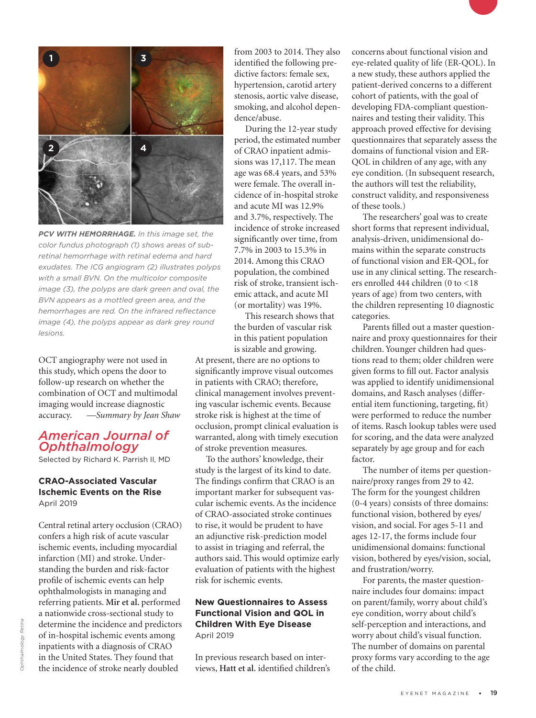

*PCV WITH HEMORRHAGE. In this image set, the color fundus photograph (1) shows areas of subretinal hemorrhage with retinal edema and hard exudates. The ICG angiogram (2) illustrates polyps with a small BVN. On the multicolor composite image (3), the polyps are dark green and oval, the BVN appears as a mottled green area, and the hemorrhages are red. On the infrared reflectance image (4), the polyps appear as dark grey round lesions.*

OCT angiography were not used in this study, which opens the door to follow-up research on whether the combination of OCT and multimodal imaging would increase diagnostic accuracy. *—Summary by Jean Shaw*

### *American Journal of Ophthalmology*

Selected by Richard K. Parrish II, MD

#### **CRAO-Associated Vascular Ischemic Events on the Rise** April 2019

Central retinal artery occlusion (CRAO) confers a high risk of acute vascular ischemic events, including myocardial infarction (MI) and stroke. Understanding the burden and risk-factor profile of ischemic events can help ophthalmologists in managing and referring patients. **Mir et al.** performed a nationwide cross-sectional study to determine the incidence and predictors of in-hospital ischemic events among inpatients with a diagnosis of CRAO in the United States. They found that the incidence of stroke nearly doubled

from 2003 to 2014. They also identified the following predictive factors: female sex, hypertension, carotid artery stenosis, aortic valve disease, smoking, and alcohol dependence/abuse.

During the 12-year study period, the estimated number of CRAO inpatient admissions was 17,117. The mean age was 68.4 years, and 53% were female. The overall incidence of in-hospital stroke and acute MI was 12.9% and 3.7%, respectively. The incidence of stroke increased significantly over time, from 7.7% in 2003 to 15.3% in 2014. Among this CRAO population, the combined risk of stroke, transient ischemic attack, and acute MI (or mortality) was 19%.

This research shows that the burden of vascular risk in this patient population is sizable and growing.

At present, there are no options to significantly improve visual outcomes in patients with CRAO; therefore, clinical management involves preventing vascular ischemic events. Because stroke risk is highest at the time of occlusion, prompt clinical evaluation is warranted, along with timely execution of stroke prevention measures.

To the authors' knowledge, their study is the largest of its kind to date. The findings confirm that CRAO is an important marker for subsequent vascular ischemic events. As the incidence of CRAO-associated stroke continues to rise, it would be prudent to have an adjunctive risk-prediction model to assist in triaging and referral, the authors said. This would optimize early evaluation of patients with the highest risk for ischemic events.

#### **New Questionnaires to Assess Functional Vision and QOL in Children With Eye Disease** April 2019

In previous research based on interviews, **Hatt et al.** identified children's concerns about functional vision and eye-related quality of life (ER-QOL). In a new study, these authors applied the patient-derived concerns to a different cohort of patients, with the goal of developing FDA-compliant questionnaires and testing their validity. This approach proved effective for devising questionnaires that separately assess the domains of functional vision and ER-QOL in children of any age, with any eye condition. (In subsequent research, the authors will test the reliability, construct validity, and responsiveness of these tools.)

The researchers' goal was to create short forms that represent individual, analysis-driven, unidimensional domains within the separate constructs of functional vision and ER-QOL, for use in any clinical setting. The researchers enrolled 444 children (0 to <18 years of age) from two centers, with the children representing 10 diagnostic categories.

Parents filled out a master questionnaire and proxy questionnaires for their children. Younger children had questions read to them; older children were given forms to fill out. Factor analysis was applied to identify unidimensional domains, and Rasch analyses (differential item functioning, targeting, fit) were performed to reduce the number of items. Rasch lookup tables were used for scoring, and the data were analyzed separately by age group and for each factor.

The number of items per questionnaire/proxy ranges from 29 to 42. The form for the youngest children (0-4 years) consists of three domains: functional vision, bothered by eyes/ vision, and social. For ages 5-11 and ages 12-17, the forms include four unidimensional domains: functional vision, bothered by eyes/vision, social, and frustration/worry.

For parents, the master questionnaire includes four domains: impact on parent/family, worry about child's eye condition, worry about child's self-perception and interactions, and worry about child's visual function. The number of domains on parental proxy forms vary according to the age of the child.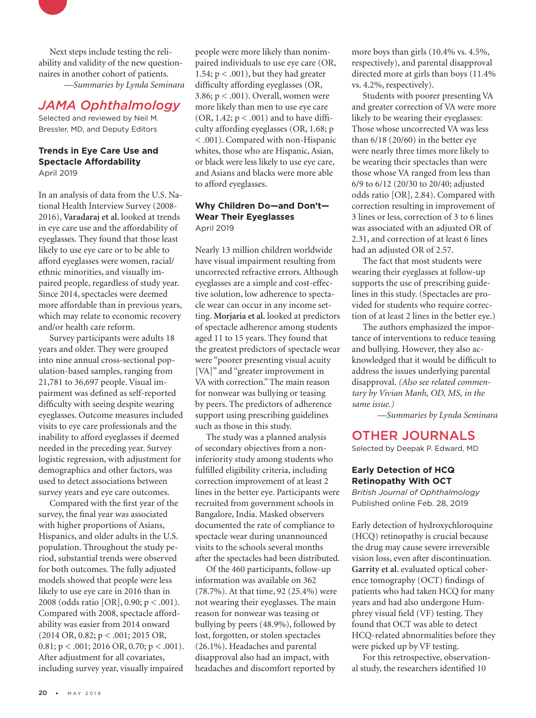Next steps include testing the reliability and validity of the new questionnaires in another cohort of patients. *—Summaries by Lynda Seminara*

## *JAMA Ophthalmology*

Selected and reviewed by Neil M. Bressler, MD, and Deputy Editors

#### **Trends in Eye Care Use and Spectacle Affordability** April 2019

In an analysis of data from the U.S. National Health Interview Survey (2008- 2016), **Varadaraj et al.** looked at trends in eye care use and the affordability of eyeglasses. They found that those least likely to use eye care or to be able to afford eyeglasses were women, racial/ ethnic minorities, and visually impaired people, regardless of study year. Since 2014, spectacles were deemed more affordable than in previous years, which may relate to economic recovery and/or health care reform.

Survey participants were adults 18 years and older. They were grouped into nine annual cross-sectional population-based samples, ranging from 21,781 to 36,697 people. Visual impairment was defined as self-reported difficulty with seeing despite wearing eyeglasses. Outcome measures included visits to eye care professionals and the inability to afford eyeglasses if deemed needed in the preceding year. Survey logistic regression, with adjustment for demographics and other factors, was used to detect associations between survey years and eye care outcomes.

Compared with the first year of the survey, the final year was associated with higher proportions of Asians, Hispanics, and older adults in the U.S. population. Throughout the study period, substantial trends were observed for both outcomes. The fully adjusted models showed that people were less likely to use eye care in 2016 than in 2008 (odds ratio [OR], 0.90; p < .001). Compared with 2008, spectacle affordability was easier from 2014 onward (2014 OR, 0.82; p < .001; 2015 OR, 0.81;  $p < .001$ ; 2016 OR, 0.70;  $p < .001$ ). After adjustment for all covariates, including survey year, visually impaired

people were more likely than nonimpaired individuals to use eye care (OR, 1.54;  $p < .001$ ), but they had greater difficulty affording eyeglasses (OR, 3.86;  $p < .001$ ). Overall, women were more likely than men to use eye care (OR, 1.42;  $p < .001$ ) and to have difficulty affording eyeglasses (OR, 1.68; p < .001). Compared with non-Hispanic whites, those who are Hispanic, Asian, or black were less likely to use eye care, and Asians and blacks were more able to afford eyeglasses.

#### **Why Children Do—and Don't— Wear Their Eyeglasses** April 2019

Nearly 13 million children worldwide have visual impairment resulting from uncorrected refractive errors. Although eyeglasses are a simple and cost-effective solution, low adherence to spectacle wear can occur in any income setting. **Morjaria et al.** looked at predictors of spectacle adherence among students aged 11 to 15 years. They found that the greatest predictors of spectacle wear were "poorer presenting visual acuity [VA]" and "greater improvement in VA with correction." The main reason for nonwear was bullying or teasing by peers. The predictors of adherence support using prescribing guidelines such as those in this study.

The study was a planned analysis of secondary objectives from a noninferiority study among students who fulfilled eligibility criteria, including correction improvement of at least 2 lines in the better eye. Participants were recruited from government schools in Bangalore, India. Masked observers documented the rate of compliance to spectacle wear during unannounced visits to the schools several months after the spectacles had been distributed.

Of the 460 participants, follow-up information was available on 362 (78.7%). At that time, 92 (25.4%) were not wearing their eyeglasses. The main reason for nonwear was teasing or bullying by peers (48.9%), followed by lost, forgotten, or stolen spectacles (26.1%). Headaches and parental disapproval also had an impact, with headaches and discomfort reported by

more boys than girls (10.4% vs. 4.5%, respectively), and parental disapproval directed more at girls than boys (11.4% vs. 4.2%, respectively).

Students with poorer presenting VA and greater correction of VA were more likely to be wearing their eyeglasses: Those whose uncorrected VA was less than 6/18 (20/60) in the better eye were nearly three times more likely to be wearing their spectacles than were those whose VA ranged from less than 6/9 to 6/12 (20/30 to 20/40; adjusted odds ratio [OR], 2.84). Compared with correction resulting in improvement of 3 lines or less, correction of 3 to 6 lines was associated with an adjusted OR of 2.31, and correction of at least 6 lines had an adjusted OR of 2.57.

The fact that most students were wearing their eyeglasses at follow-up supports the use of prescribing guidelines in this study. (Spectacles are provided for students who require correction of at least 2 lines in the better eye.)

The authors emphasized the importance of interventions to reduce teasing and bullying. However, they also acknowledged that it would be difficult to address the issues underlying parental disapproval. *(Also see related commentary by Vivian Manh, OD, MS, in the same issue.)* 

*—Summaries by Lynda Seminara*

## OTHER JOURNALS

Selected by Deepak P. Edward, MD

#### **Early Detection of HCQ Retinopathy With OCT**

*British Journal of Ophthalmology* Published online Feb. 28, 2019

Early detection of hydroxychloroquine (HCQ) retinopathy is crucial because the drug may cause severe irreversible vision loss, even after discontinuation. **Garrity et al.** evaluated optical coherence tomography (OCT) findings of patients who had taken HCQ for many years and had also undergone Humphrey visual field (VF) testing. They found that OCT was able to detect HCQ-related abnormalities before they were picked up by VF testing.

For this retrospective, observational study, the researchers identified 10